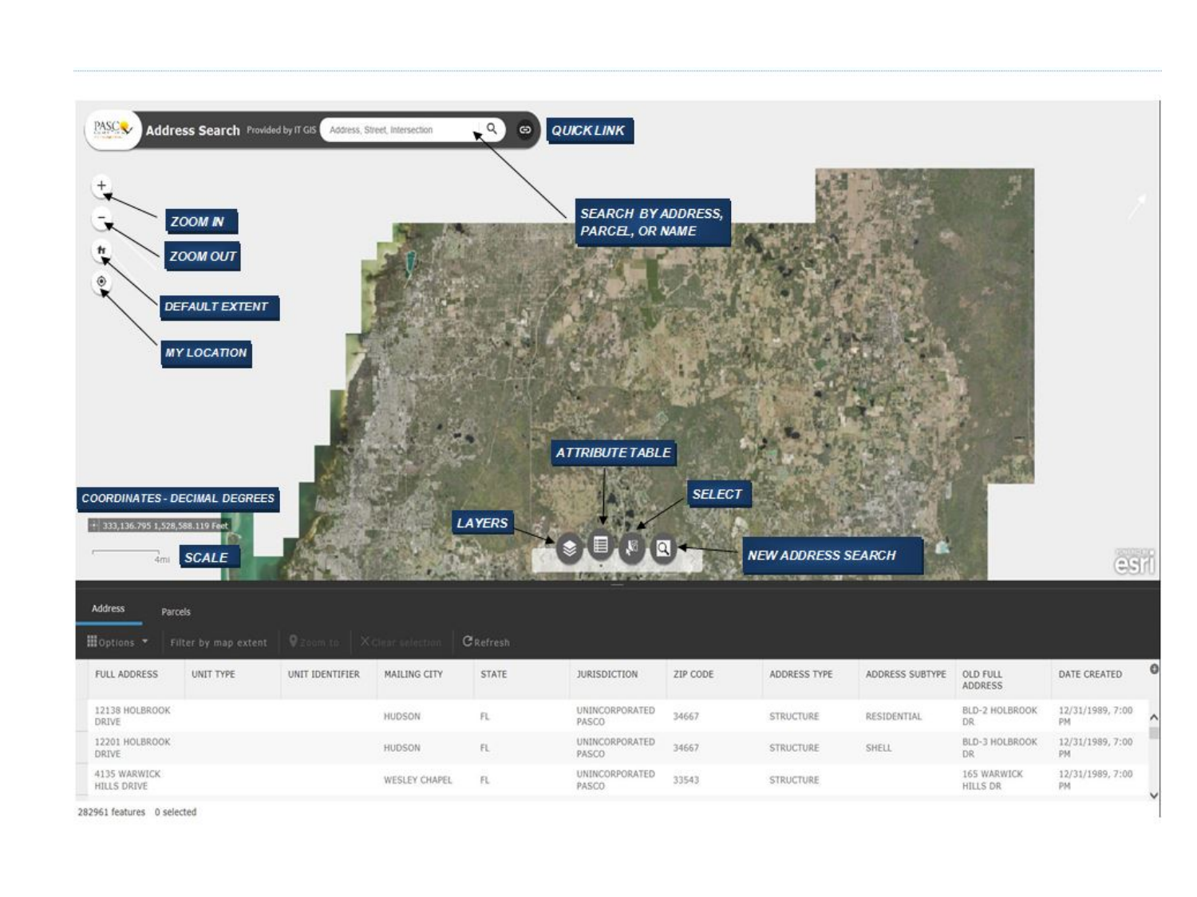

282961 features 0 selected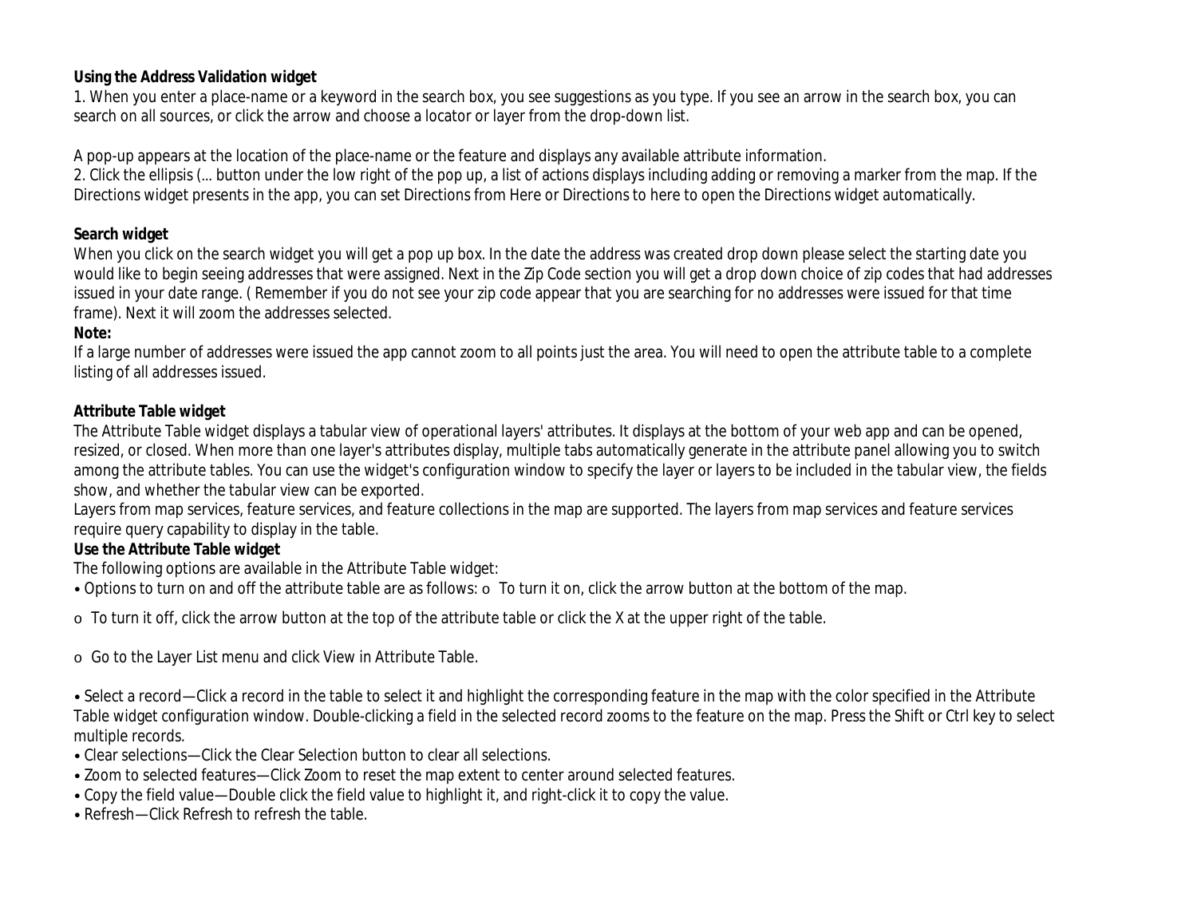#### **Using the Address Validation widget**

1. When you enter a place-name or a keyword in the search box, you see suggestions as you type. If you see an arrow in the search box, you can search on all sources, or click the arrow and choose a locator or layer from the drop-down list.

A pop-up appears at the location of the place-name or the feature and displays any available attribute information.

2. Click the ellipsis (… button under the low right of the pop up, a list of actions displays including adding or removing a marker from the map. If the Directions widget presents in the app, you can set Directions from Here or Directions to here to open the Directions widget automatically.

# **Search widget**

When you click on the search widget you will get a pop up box. In the date the address was created drop down please select the starting date you would like to begin seeing addresses that were assigned. Next in the Zip Code section you will get a drop down choice of zip codes that had addresses issued in your date range. ( Remember if you do not see your zip code appear that you are searching for no addresses were issued for that time frame). Next it will zoom the addresses selected.

# **Note:**

If a large number of addresses were issued the app cannot zoom to all points just the area. You will need to open the attribute table to a complete listing of all addresses issued.

# **Attribute Table widget**

The Attribute Table widget displays a tabular view of operational layers' attributes. It displays at the bottom of your web app and can be opened, resized, or closed. When more than one layer's attributes display, multiple tabs automatically generate in the attribute panel allowing you to switch among the attribute tables. You can use the widget's configuration window to specify the layer or layers to be included in the tabular view, the fields show, and whether the tabular view can be exported.

Layers from map services, feature services, and feature collections in the map are supported. The layers from map services and feature services require query capability to display in the table.

# **Use the Attribute Table widget**

The following options are available in the Attribute Table widget:

• Options to turn on and off the attribute table are as follows:  $\circ$  To turn it on, click the arrow button at the bottom of the map.

o To turn it off, click the arrow button at the top of the attribute table or click the X at the upper right of the table.

o Go to the Layer List menu and click View in Attribute Table.

• Select a record—Click a record in the table to select it and highlight the corresponding feature in the map with the color specified in the Attribute Table widget configuration window. Double-clicking a field in the selected record zooms to the feature on the map. Press the Shift or Ctrl key to select multiple records.

• Clear selections—Click the Clear Selection button to clear all selections.

• Zoom to selected features—Click Zoom to reset the map extent to center around selected features.

• Copy the field value—Double click the field value to highlight it, and right-click it to copy the value.

• Refresh—Click Refresh to refresh the table.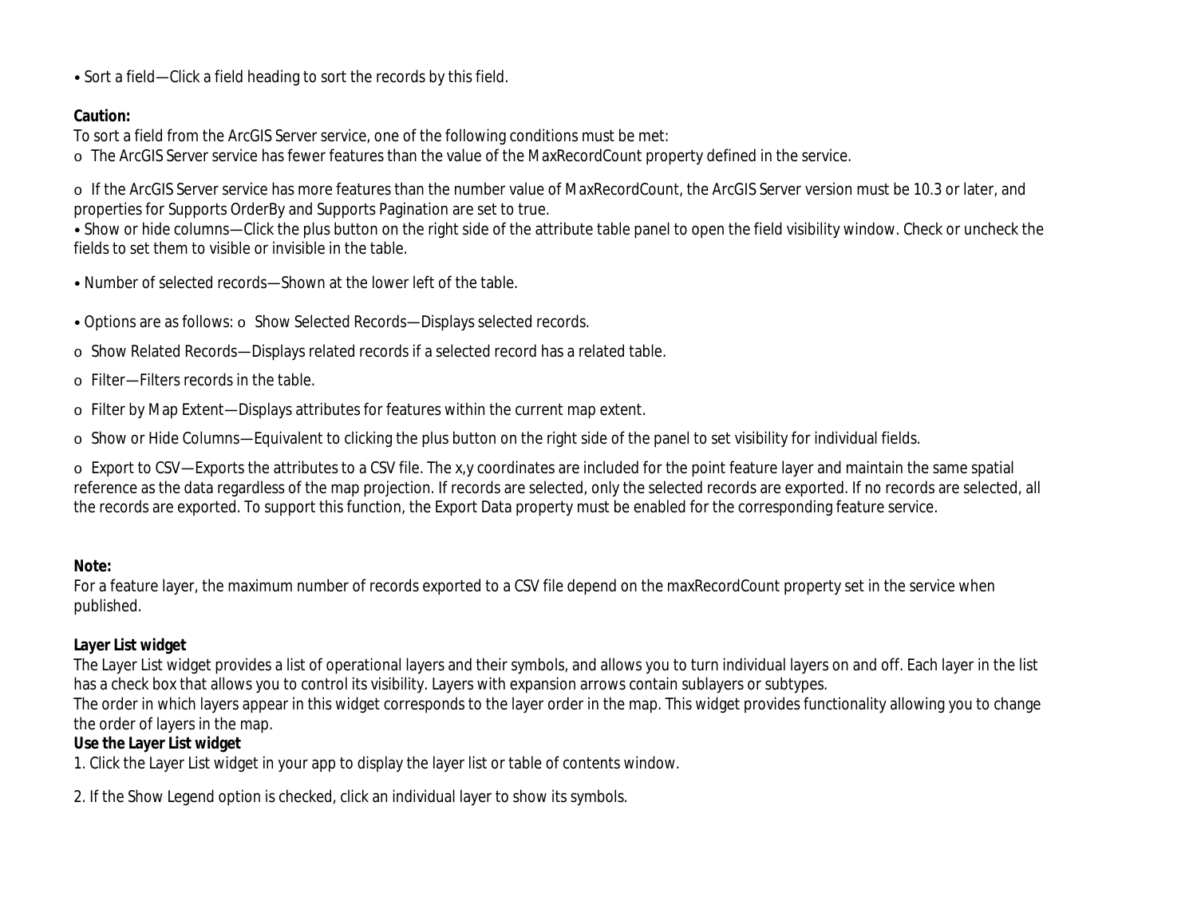• Sort a field—Click a field heading to sort the records by this field.

#### **Caution:**

To sort a field from the ArcGIS Server service, one of the following conditions must be met:

o The ArcGIS Server service has fewer features than the value of the MaxRecordCount property defined in the service.

o If the ArcGIS Server service has more features than the number value of MaxRecordCount, the ArcGIS Server version must be 10.3 or later, and properties for Supports OrderBy and Supports Pagination are set to true.

• Show or hide columns—Click the plus button on the right side of the attribute table panel to open the field visibility window. Check or uncheck the fields to set them to visible or invisible in the table.

- Number of selected records—Shown at the lower left of the table.
- Options are as follows: o Show Selected Records—Displays selected records.
- o Show Related Records—Displays related records if a selected record has a related table.
- o Filter—Filters records in the table.
- o Filter by Map Extent—Displays attributes for features within the current map extent.
- o Show or Hide Columns—Equivalent to clicking the plus button on the right side of the panel to set visibility for individual fields.

o Export to CSV—Exports the attributes to a CSV file. The x,y coordinates are included for the point feature layer and maintain the same spatial reference as the data regardless of the map projection. If records are selected, only the selected records are exported. If no records are selected, all the records are exported. To support this function, the Export Data property must be enabled for the corresponding feature service.

#### **Note:**

For a feature layer, the maximum number of records exported to a CSV file depend on the maxRecordCount property set in the service when published.

#### **Layer List widget**

The Layer List widget provides a list of operational layers and their symbols, and allows you to turn individual layers on and off. Each layer in the list has a check box that allows you to control its visibility. Layers with expansion arrows contain sublayers or subtypes.

The order in which layers appear in this widget corresponds to the layer order in the map. This widget provides functionality allowing you to change the order of layers in the map.

#### **Use the Layer List widget**

1. Click the Layer List widget in your app to display the layer list or table of contents window.

2. If the Show Legend option is checked, click an individual layer to show its symbols.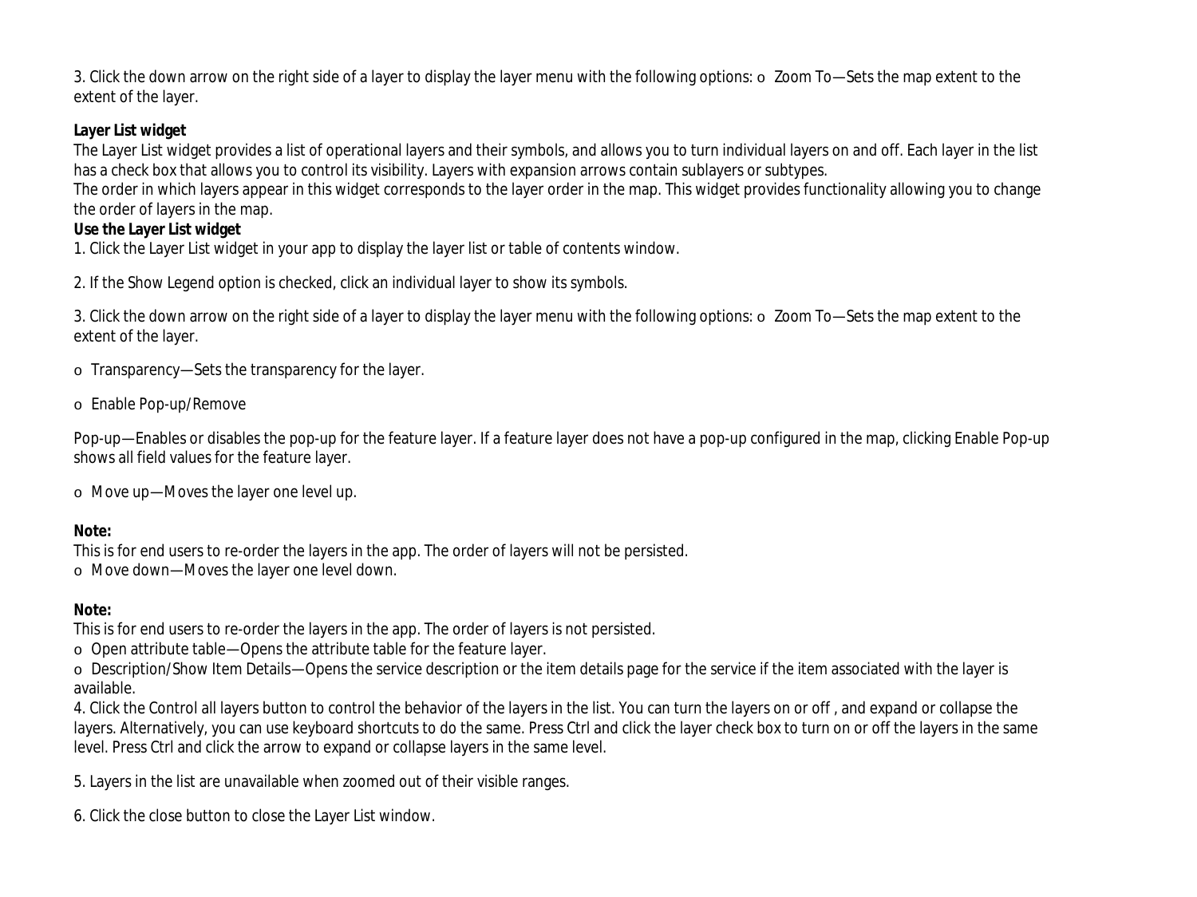3. Click the down arrow on the right side of a layer to display the layer menu with the following options: o Zoom To—Sets the map extent to the extent of the layer.

# **Layer List widget**

The Layer List widget provides a list of operational layers and their symbols, and allows you to turn individual layers on and off. Each layer in the list has a check box that allows you to control its visibility. Layers with expansion arrows contain sublayers or subtypes.

The order in which layers appear in this widget corresponds to the layer order in the map. This widget provides functionality allowing you to change the order of layers in the map.

# **Use the Layer List widget**

1. Click the Layer List widget in your app to display the layer list or table of contents window.

2. If the Show Legend option is checked, click an individual layer to show its symbols.

3. Click the down arrow on the right side of a layer to display the layer menu with the following options: o Zoom To—Sets the map extent to the extent of the layer.

o Transparency—Sets the transparency for the layer.

o Enable Pop-up/Remove

Pop-up—Enables or disables the pop-up for the feature layer. If a feature layer does not have a pop-up configured in the map, clicking Enable Pop-up shows all field values for the feature layer.

o Move up—Moves the layer one level up.

# **Note:**

This is for end users to re-order the layers in the app. The order of layers will not be persisted.

o Move down—Moves the layer one level down.

#### **Note:**

This is for end users to re-order the layers in the app. The order of layers is not persisted.

o Open attribute table—Opens the attribute table for the feature layer.

o Description/Show Item Details—Opens the service description or the item details page for the service if the item associated with the layer is available.

4. Click the Control all layers button to control the behavior of the layers in the list. You can turn the layers on or off , and expand or collapse the layers. Alternatively, you can use keyboard shortcuts to do the same. Press Ctrl and click the layer check box to turn on or off the layers in the same level. Press Ctrl and click the arrow to expand or collapse layers in the same level.

5. Layers in the list are unavailable when zoomed out of their visible ranges.

6. Click the close button to close the Layer List window.